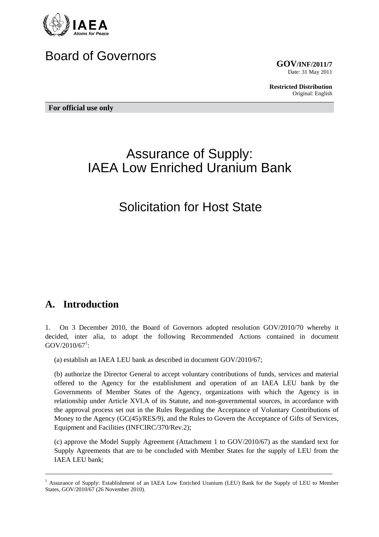

# Board of Governors

**GOV/INF/2011/7** Date: 31 May 2011

**Restricted Distribution** Original: English

**For official use only** 

# Assurance of Supply: IAEA Low Enriched Uranium Bank

# Solicitation for Host State

## **A. Introduction**

1. On 3 December 2010, the Board of Governors adopted resolution GOV/2010/70 whereby it decided, inter alia, to adopt the following Recommended Actions contained in document  $GOV/2010/67^1$ :

(a) establish an IAEA LEU bank as described in document GOV/2010/67;

(b) authorize the Director General to accept voluntary contributions of funds, services and material offered to the Agency for the establishment and operation of an IAEA LEU bank by the Governments of Member States of the Agency, organizations with which the Agency is in relationship under Article XVI.A of its Statute, and non-governmental sources, in accordance with the approval process set out in the Rules Regarding the Acceptance of Voluntary Contributions of Money to the Agency (GC(45)/RES/9), and the Rules to Govern the Acceptance of Gifts of Services, Equipment and Facilities (INFCIRC/370/Rev.2);

(c) approve the Model Supply Agreement (Attachment 1 to GOV/2010/67) as the standard text for Supply Agreements that are to be concluded with Member States for the supply of LEU from the IAEA LEU bank;

<sup>&</sup>lt;sup>1</sup> Assurance of Supply: Establishment of an IAEA Low Enriched Uranium (LEU) Bank for the Supply of LEU to Member States, GOV/2010/67 (26 November 2010).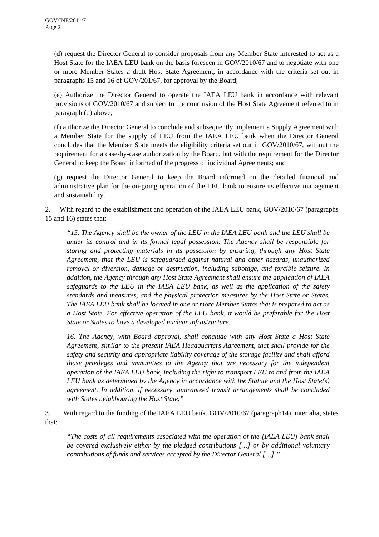(d) request the Director General to consider proposals from any Member State interested to act as a Host State for the IAEA LEU bank on the basis foreseen in GOV/2010/67 and to negotiate with one or more Member States a draft Host State Agreement, in accordance with the criteria set out in paragraphs 15 and 16 of GOV/201/67, for approval by the Board;

(e) Authorize the Director General to operate the IAEA LEU bank in accordance with relevant provisions of GOV/2010/67 and subject to the conclusion of the Host State Agreement referred to in paragraph (d) above;

(f) authorize the Director General to conclude and subsequently implement a Supply Agreement with a Member State for the supply of LEU from the IAEA LEU bank when the Director General concludes that the Member State meets the eligibility criteria set out in GOV/2010/67, without the requirement for a case-by-case authorization by the Board, but with the requirement for the Director General to keep the Board informed of the progress of individual Agreements; and

(g) request the Director General to keep the Board informed on the detailed financial and administrative plan for the on-going operation of the LEU bank to ensure its effective management and sustainability.

2. With regard to the establishment and operation of the IAEA LEU bank, GOV/2010/67 (paragraphs 15 and 16) states that:

*"15. The Agency shall be the owner of the LEU in the IAEA LEU bank and the LEU shall be under its control and in its formal legal possession. The Agency shall be responsible for storing and protecting materials in its possession by ensuring, through any Host State Agreement, that the LEU is safeguarded against natural and other hazards, unauthorized removal or diversion, damage or destruction, including sabotage, and forcible seizure. In addition, the Agency through any Host State Agreement shall ensure the application of IAEA safeguards to the LEU in the IAEA LEU bank, as well as the application of the safety standards and measures, and the physical protection measures by the Host State or States. The IAEA LEU bank shall be located in one or more Member States that is prepared to act as a Host State. For effective operation of the LEU bank, it would be preferable for the Host State or States to have a developed nuclear infrastructure.* 

*16. The Agency, with Board approval, shall conclude with any Host State a Host State Agreement, similar to the present IAEA Headquarters Agreement, that shall provide for the safety and security and appropriate liability coverage of the storage facility and shall afford those privileges and immunities to the Agency that are necessary for the independent operation of the IAEA LEU bank, including the right to transport LEU to and from the IAEA LEU bank as determined by the Agency in accordance with the Statute and the Host State(s) agreement. In addition, if necessary, guaranteed transit arrangements shall be concluded with States neighbouring the Host State."*

3. With regard to the funding of the IAEA LEU bank, GOV/2010/67 (paragraph14), inter alia, states that:

*"The costs of all requirements associated with the operation of the [IAEA LEU] bank shall be covered exclusively either by the pledged contributions […] or by additional voluntary contributions of funds and services accepted by the Director General […]."*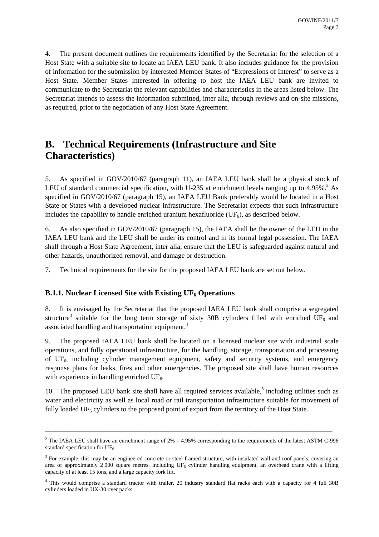4. The present document outlines the requirements identified by the Secretariat for the selection of a Host State with a suitable site to locate an IAEA LEU bank. It also includes guidance for the provision of information for the submission by interested Member States of "Expressions of Interest" to serve as a Host State. Member States interested in offering to host the IAEA LEU bank are invited to communicate to the Secretariat the relevant capabilities and characteristics in the areas listed below. The Secretariat intends to assess the information submitted, inter alia, through reviews and on-site missions, as required, prior to the negotiation of any Host State Agreement.

# **B. Technical Requirements (Infrastructure and Site Characteristics)**

5. As specified in GOV/2010/67 (paragraph 11), an IAEA LEU bank shall be a physical stock of LEU of standard commercial specification, with U-235 at enrichment levels ranging up to  $4.95\%$ .<sup>2</sup> As specified in GOV/2010/67 (paragraph 15), an IAEA LEU Bank preferably would be located in a Host State or States with a developed nuclear infrastructure. The Secretariat expects that such infrastructure includes the capability to handle enriched uranium hexafluoride  $(UF<sub>6</sub>)$ , as described below.

6. As also specified in GOV/2010/67 (paragraph 15), the IAEA shall be the owner of the LEU in the IAEA LEU bank and the LEU shall be under its control and in its formal legal possession. The IAEA shall through a Host State Agreement, inter alia, ensure that the LEU is safeguarded against natural and other hazards, unauthorized removal, and damage or destruction.

7. Technical requirements for the site for the proposed IAEA LEU bank are set out below.

#### **B.1.1.** Nuclear Licensed Site with Existing UF<sub>6</sub> Operations

8. It is envisaged by the Secretariat that the proposed IAEA LEU bank shall comprise a segregated structure<sup>3</sup> suitable for the long term storage of sixty 30B cylinders filled with enriched UF<sub>6</sub> and associated handling and transportation equipment.<sup>4</sup>

9. The proposed IAEA LEU bank shall be located on a licensed nuclear site with industrial scale operations, and fully operational infrastructure, for the handling, storage, transportation and processing of  $UF_6$ , including cylinder management equipment, safety and security systems, and emergency response plans for leaks, fires and other emergencies. The proposed site shall have human resources with experience in handling enriched  $UF<sub>6</sub>$ .

10. The proposed LEU bank site shall have all required services available,<sup>5</sup> including utilities such as water and electricity as well as local road or rail transportation infrastructure suitable for movement of fully loaded UF<sub>6</sub> cylinders to the proposed point of export from the territory of the Host State.

<sup>&</sup>lt;sup>2</sup> The IAEA LEU shall have an enrichment range of  $2\% - 4.95\%$  corresponding to the requirements of the latest ASTM C-996 standard specification for  $UF<sub>6</sub>$ .

<sup>&</sup>lt;sup>3</sup> For example, this may be an engineered concrete or steel framed structure, with insulated wall and roof panels, covering an area of approximately 2 000 square metres, including  $UF_6$  cylinder handling equipment, an overhead crane with a lifting capacity of at least 15 tons, and a large capacity fork lift.

<sup>&</sup>lt;sup>4</sup> This would comprise a standard tractor with trailer, 20 industry standard flat racks each with a capacity for 4 full 30B cylinders loaded in UX-30 over packs.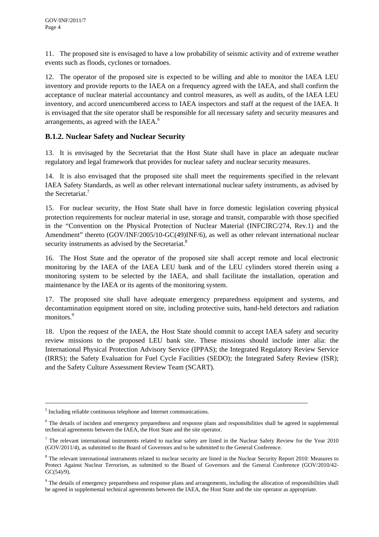11. The proposed site is envisaged to have a low probability of seismic activity and of extreme weather events such as floods, cyclones or tornadoes.

12. The operator of the proposed site is expected to be willing and able to monitor the IAEA LEU inventory and provide reports to the IAEA on a frequency agreed with the IAEA, and shall confirm the acceptance of nuclear material accountancy and control measures, as well as audits, of the IAEA LEU inventory, and accord unencumbered access to IAEA inspectors and staff at the request of the IAEA. It is envisaged that the site operator shall be responsible for all necessary safety and security measures and arrangements, as agreed with the IAEA. $^6$ 

## **B.1.2. Nuclear Safety and Nuclear Security**

13. It is envisaged by the Secretariat that the Host State shall have in place an adequate nuclear regulatory and legal framework that provides for nuclear safety and nuclear security measures.

14. It is also envisaged that the proposed site shall meet the requirements specified in the relevant IAEA Safety Standards, as well as other relevant international nuclear safety instruments, as advised by the Secretariat.<sup>7</sup>

15. For nuclear security, the Host State shall have in force domestic legislation covering physical protection requirements for nuclear material in use, storage and transit, comparable with those specified in the "Convention on the Physical Protection of Nuclear Material (INFCIRC/274, Rev.1) and the Amendment" thereto (GOV/INF/2005/10-GC(49)INF/6), as well as other relevant international nuclear security instruments as advised by the Secretariat.<sup>8</sup>

16. The Host State and the operator of the proposed site shall accept remote and local electronic monitoring by the IAEA of the IAEA LEU bank and of the LEU cylinders stored therein using a monitoring system to be selected by the IAEA, and shall facilitate the installation, operation and maintenance by the IAEA or its agents of the monitoring system.

17. The proposed site shall have adequate emergency preparedness equipment and systems, and decontamination equipment stored on site, including protective suits, hand-held detectors and radiation monitors.<sup>9</sup>

18. Upon the request of the IAEA, the Host State should commit to accept IAEA safety and security review missions to the proposed LEU bank site. These missions should include inter alia: the International Physical Protection Advisory Service (IPPAS); the Integrated Regulatory Review Service (IRRS); the Safety Evaluation for Fuel Cycle Facilities (SEDO); the Integrated Safety Review (ISR); and the Safety Culture Assessment Review Team (SCART).

<sup>&</sup>lt;sup>5</sup> Including reliable continuous telephone and Internet communications.

<sup>&</sup>lt;sup>6</sup> The details of incident and emergency preparedness and response plans and responsibilities shall be agreed in supplemental technical agreements between the IAEA, the Host State and the site operator.

 $^7$  The relevant international instruments related to nuclear safety are listed in the Nuclear Safety Review for the Year 2010 (GOV/2011/4), as submitted to the Board of Governors and to be submitted to the General Conference.

<sup>&</sup>lt;sup>8</sup> The relevant international instruments related to nuclear security are listed in the Nuclear Security Report 2010: Measures to Protect Against Nuclear Terrorism, as submitted to the Board of Governors and the General Conference (GOV/2010/42- GC(54)/9).

<sup>&</sup>lt;sup>9</sup> The details of emergency preparedness and response plans and arrangements, including the allocation of responsibilities shall be agreed in supplemental technical agreements between the IAEA, the Host State and the site operator as appropriate.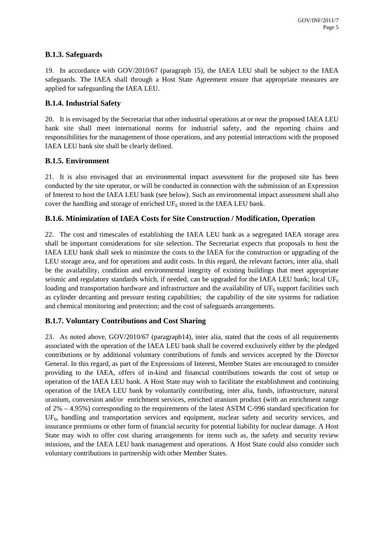### **B.1.3. Safeguards**

19. In accordance with GOV/2010/67 (paragraph 15), the IAEA LEU shall be subject to the IAEA safeguards. The IAEA shall through a Host State Agreement ensure that appropriate measures are applied for safeguarding the IAEA LEU.

### **B.1.4. Industrial Safety**

20. It is envisaged by the Secretariat that other industrial operations at or near the proposed IAEA LEU bank site shall meet international norms for industrial safety, and the reporting chains and responsibilities for the management of those operations, and any potential interactions with the proposed IAEA LEU bank site shall be clearly defined.

### **B.1.5. Environment**

21. It is also envisaged that an environmental impact assessment for the proposed site has been conducted by the site operator, or will be conducted in connection with the submission of an Expression of Interest to host the IAEA LEU bank (see below). Such an environmental impact assessment shall also cover the handling and storage of enriched  $UF_6$  stored in the IAEA LEU bank.

## **B.1.6. Minimization of IAEA Costs for Site Construction / Modification, Operation**

22. The cost and timescales of establishing the IAEA LEU bank as a segregated IAEA storage area shall be important considerations for site selection. The Secretariat expects that proposals to host the IAEA LEU bank shall seek to minimize the costs to the IAEA for the construction or upgrading of the LEU storage area, and for operations and audit costs. In this regard, the relevant factors, inter alia, shall be the availability, condition and environmental integrity of existing buildings that meet appropriate seismic and regulatory standards which, if needed, can be upgraded for the IAEA LEU bank; local  $UF<sub>6</sub>$ loading and transportation hardware and infrastructure and the availability of  $UF<sub>6</sub>$  support facilities such as cylinder decanting and pressure testing capabilities; the capability of the site systems for radiation and chemical monitoring and protection; and the cost of safeguards arrangements.

## **B.1.7. Voluntary Contributions and Cost Sharing**

23. As noted above, GOV/2010/67 (paragraph14), inter alia, stated that the costs of all requirements associated with the operation of the IAEA LEU bank shall be covered exclusively either by the pledged contributions or by additional voluntary contributions of funds and services accepted by the Director General. In this regard, as part of the Expressions of Interest, Member States are encouraged to consider providing to the IAEA, offers of in-kind and financial contributions towards the cost of setup or operation of the IAEA LEU bank. A Host State may wish to facilitate the establishment and continuing operation of the IAEA LEU bank by voluntarily contributing, inter alia, funds, infrastructure, natural uranium, conversion and/or enrichment services, enriched uranium product (with an enrichment range of 2% – 4.95%) corresponding to the requirements of the latest ASTM C-996 standard specification for UF<sub>6</sub>, handling and transportation services and equipment, nuclear safety and security services, and insurance premiums or other form of financial security for potential liability for nuclear damage. A Host State may wish to offer cost sharing arrangements for items such as, the safety and security review missions, and the IAEA LEU bank management and operations. A Host State could also consider such voluntary contributions in partnership with other Member States.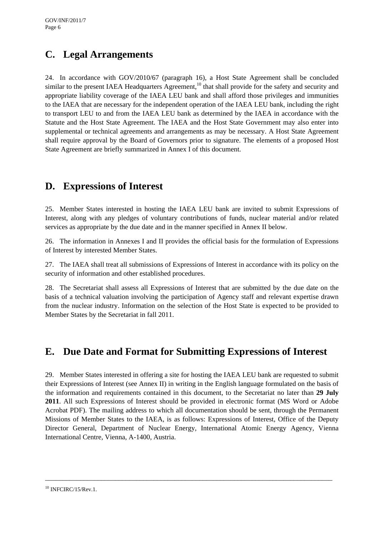# **C. Legal Arrangements**

24. In accordance with GOV/2010/67 (paragraph 16), a Host State Agreement shall be concluded similar to the present IAEA Headquarters Agreement,<sup>10</sup> that shall provide for the safety and security and appropriate liability coverage of the IAEA LEU bank and shall afford those privileges and immunities to the IAEA that are necessary for the independent operation of the IAEA LEU bank, including the right to transport LEU to and from the IAEA LEU bank as determined by the IAEA in accordance with the Statute and the Host State Agreement. The IAEA and the Host State Government may also enter into supplemental or technical agreements and arrangements as may be necessary. A Host State Agreement shall require approval by the Board of Governors prior to signature. The elements of a proposed Host State Agreement are briefly summarized in Annex I of this document.

# **D. Expressions of Interest**

25. Member States interested in hosting the IAEA LEU bank are invited to submit Expressions of Interest, along with any pledges of voluntary contributions of funds, nuclear material and/or related services as appropriate by the due date and in the manner specified in Annex II below.

26. The information in Annexes I and II provides the official basis for the formulation of Expressions of Interest by interested Member States.

27. The IAEA shall treat all submissions of Expressions of Interest in accordance with its policy on the security of information and other established procedures.

28. The Secretariat shall assess all Expressions of Interest that are submitted by the due date on the basis of a technical valuation involving the participation of Agency staff and relevant expertise drawn from the nuclear industry. Information on the selection of the Host State is expected to be provided to Member States by the Secretariat in fall 2011.

# **E. Due Date and Format for Submitting Expressions of Interest**

29. Member States interested in offering a site for hosting the IAEA LEU bank are requested to submit their Expressions of Interest (see Annex II) in writing in the English language formulated on the basis of the information and requirements contained in this document, to the Secretariat no later than **29 July 2011**. All such Expressions of Interest should be provided in electronic format (MS Word or Adobe Acrobat PDF). The mailing address to which all documentation should be sent, through the Permanent Missions of Member States to the IAEA, is as follows: Expressions of Interest, Office of the Deputy Director General, Department of Nuclear Energy, International Atomic Energy Agency, Vienna International Centre, Vienna, A-1400, Austria.

 $10$  INFCIRC/15/Rev.1.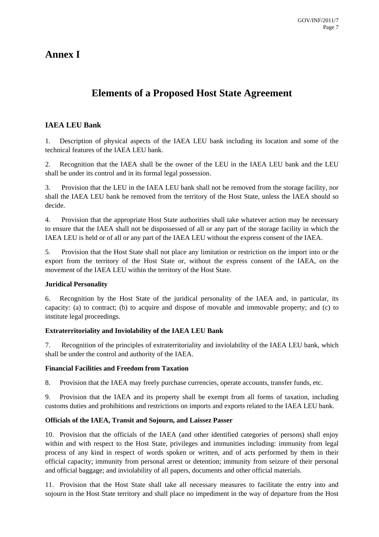# **Annex I**

# **Elements of a Proposed Host State Agreement**

## **IAEA LEU Bank**

1. Description of physical aspects of the IAEA LEU bank including its location and some of the technical features of the IAEA LEU bank.

2. Recognition that the IAEA shall be the owner of the LEU in the IAEA LEU bank and the LEU shall be under its control and in its formal legal possession.

3. Provision that the LEU in the IAEA LEU bank shall not be removed from the storage facility, nor shall the IAEA LEU bank be removed from the territory of the Host State, unless the IAEA should so decide.

4. Provision that the appropriate Host State authorities shall take whatever action may be necessary to ensure that the IAEA shall not be dispossessed of all or any part of the storage facility in which the IAEA LEU is held or of all or any part of the IAEA LEU without the express consent of the IAEA.

5. Provision that the Host State shall not place any limitation or restriction on the import into or the export from the territory of the Host State or, without the express consent of the IAEA, on the movement of the IAEA LEU within the territory of the Host State.

#### **Juridical Personality**

6. Recognition by the Host State of the juridical personality of the IAEA and, in particular, its capacity: (a) to contract; (b) to acquire and dispose of movable and immovable property; and (c) to institute legal proceedings.

#### **Extraterritoriality and Inviolability of the IAEA LEU Bank**

7. Recognition of the principles of extraterritoriality and inviolability of the IAEA LEU bank, which shall be under the control and authority of the IAEA.

#### **Financial Facilities and Freedom from Taxation**

8. Provision that the IAEA may freely purchase currencies, operate accounts, transfer funds, etc.

9. Provision that the IAEA and its property shall be exempt from all forms of taxation, including customs duties and prohibitions and restrictions on imports and exports related to the IAEA LEU bank.

#### **Officials of the IAEA, Transit and Sojourn, and Laissez Passer**

10. Provision that the officials of the IAEA (and other identified categories of persons) shall enjoy within and with respect to the Host State, privileges and immunities including: immunity from legal process of any kind in respect of words spoken or written, and of acts performed by them in their official capacity; immunity from personal arrest or detention; immunity from seizure of their personal and official baggage; and inviolability of all papers, documents and other official materials.

11. Provision that the Host State shall take all necessary measures to facilitate the entry into and sojourn in the Host State territory and shall place no impediment in the way of departure from the Host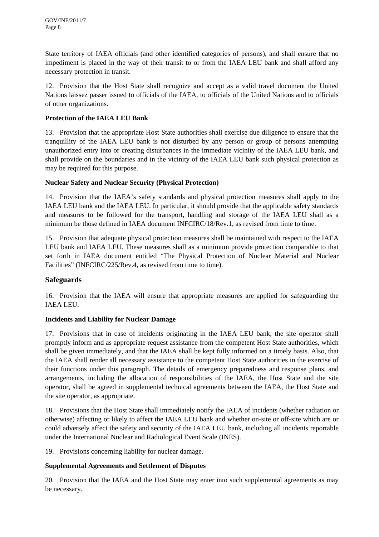State territory of IAEA officials (and other identified categories of persons), and shall ensure that no impediment is placed in the way of their transit to or from the IAEA LEU bank and shall afford any necessary protection in transit.

12. Provision that the Host State shall recognize and accept as a valid travel document the United Nations laissez passer issued to officials of the IAEA, to officials of the United Nations and to officials of other organizations.

#### **Protection of the IAEA LEU Bank**

13. Provision that the appropriate Host State authorities shall exercise due diligence to ensure that the tranquillity of the IAEA LEU bank is not disturbed by any person or group of persons attempting unauthorized entry into or creating disturbances in the immediate vicinity of the IAEA LEU bank, and shall provide on the boundaries and in the vicinity of the IAEA LEU bank such physical protection as may be required for this purpose.

#### **Nuclear Safety and Nuclear Security (Physical Protection)**

14. Provision that the IAEA's safety standards and physical protection measures shall apply to the IAEA LEU bank and the IAEA LEU. In particular, it should provide that the applicable safety standards and measures to be followed for the transport, handling and storage of the IAEA LEU shall as a minimum be those defined in IAEA document INFCIRC/18/Rev.1, as revised from time to time.

15. Provision that adequate physical protection measures shall be maintained with respect to the IAEA LEU bank and IAEA LEU. These measures shall as a minimum provide protection comparable to that set forth in IAEA document entitled "The Physical Protection of Nuclear Material and Nuclear Facilities" (INFCIRC/225/Rev.4, as revised from time to time).

## **Safeguards**

16. Provision that the IAEA will ensure that appropriate measures are applied for safeguarding the IAEA LEU.

### **Incidents and Liability for Nuclear Damage**

17. Provisions that in case of incidents originating in the IAEA LEU bank, the site operator shall promptly inform and as appropriate request assistance from the competent Host State authorities, which shall be given immediately, and that the IAEA shall be kept fully informed on a timely basis. Also, that the IAEA shall render all necessary assistance to the competent Host State authorities in the exercise of their functions under this paragraph. The details of emergency preparedness and response plans, and arrangements, including the allocation of responsibilities of the IAEA, the Host State and the site operator, shall be agreed in supplemental technical agreements between the IAEA, the Host State and the site operator, as appropriate.

18. Provisions that the Host State shall immediately notify the IAEA of incidents (whether radiation or otherwise) affecting or likely to affect the IAEA LEU bank and whether on-site or off-site which are or could adversely affect the safety and security of the IAEA LEU bank, including all incidents reportable under the International Nuclear and Radiological Event Scale (INES).

19. Provisions concerning liability for nuclear damage.

## **Supplemental Agreements and Settlement of Disputes**

20. Provision that the IAEA and the Host State may enter into such supplemental agreements as may be necessary.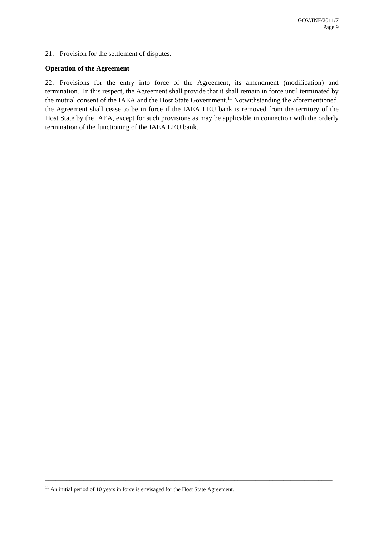21. Provision for the settlement of disputes.

#### **Operation of the Agreement**

22. Provisions for the entry into force of the Agreement, its amendment (modification) and termination. In this respect, the Agreement shall provide that it shall remain in force until terminated by the mutual consent of the IAEA and the Host State Government.<sup>11</sup> Notwithstanding the aforementioned, the Agreement shall cease to be in force if the IAEA LEU bank is removed from the territory of the Host State by the IAEA, except for such provisions as may be applicable in connection with the orderly termination of the functioning of the IAEA LEU bank.

 $11$  An initial period of 10 years in force is envisaged for the Host State Agreement.